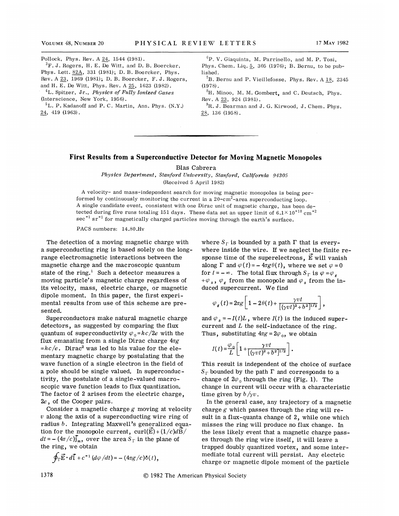Pollock, Phys. Rev. A 24, 1544 (1981).  ${}^{3}$ F. J. Rogers, H. E. De Witt, and D. B. Boercker, Phys. Lett. 82A, 331 (1981); D. B. Boercker, Phys. Rev. <sup>A</sup> 23, <sup>1969</sup> (1981); D. B.Boercker, F.J. Rogers, and H. E. De Witt, Phys. Rev. <sup>A</sup> 25, 1623 (1982).  ${}^{4}$ L. Spitzer, Jr., Physics of Fully Ionized Gases (Interscience, New York, 1956).  ${}^5L$ . P. Kadanoff and P. C. Martin, Ann. Phys. (N.Y.) 24, 419 (1963).

 ${}^6P$ . V. Giaquinta, M. Parrinello, and M. P. Tosi, Phys. Chem. Liq. 5, 305 (1976); B. Bernu, to be published.

 ${}^{7}B.$  Bernu and P. Vieillefosse, Phys. Rev. A 18, 2345 (1978).

 ${}^8H$ . Minoo, M. M. Gombert, and C. Deutsch, Phys. Rev. <sup>A</sup> 23, 924 (1981).

 ${}^{9}R.$  J. Bearman and J. G. Kirwood, J. Chem. Phys. 28, 136 (1958).

## First Results from a Superconductive Detector for Moving Magnetic Monopoles

Blas Cabrera

Physics Department, Stanford University, Stanford, Catifornia 94305 (Received 5 April 1982)

<sup>A</sup> velocity- and mass-independent search for moving magnetic monopoles is being performed by continuously monitoring the current in a  $20$ -cm<sup>2</sup>-area superconducting loop. <sup>A</sup> single candidate event, consistent with one Dirac unit of magnetic charge, has been detected during five runs totaling 151 days. These data set an upper limit of  $6.1 \times 10^{-10}$  cm<sup>-2</sup>  $\sec^{-1}$  sr<sup>-1</sup> for magnetically charged particles moving through the earth's surface.

PACS numbers: 14.80.Hv

The detection of a moving magnetic charge with a superconducting ring is based solely on the longrange electromagnetic interactions between the magnetic charge and the macroscopic quantum state of the ring. $<sup>1</sup>$  Such a detector measures a</sup> moving particle's magnetic charge regardless of its velocity, mass, electric charge, or magnetic dipole moment. In this paper, the first experimental results from use of this scheme are presented.

Superconductors make natural magnetic charge detectors, as suggested by comparing the flux quantum of superconductivity  $\varphi_0 = hc/2e$  with the flux emanating from a single Dirac charge  $4\pi g$  $=hc/e$ . Dirac<sup>2</sup> was led to his value for the elementary magnetic charge by postulating that the wave function of a single electron in the field of a, pole should be single valued. In superconductivity, the postulate of a single-valued macroscopic wave function leads to flux quantization. The factor of 2 arises from the electric charge, 2e, of the Cooper pairs.

Consider a magnetic charge  $g$  moving at velocity  $v$  along the axis of a superconducting wire ring of radius b. Integrating Maxwell's generalized equation for the monopole current,  $curl(\vec{E})+(1/c)d\vec{B}/$  $dt = -(4\pi/c)\tilde{j}_m$ , over the area  $S_{\Gamma}$  in the plane of the ring, we obtain

$$
\oint_{\Gamma} \vec{E} \cdot d\vec{l} + c^{-1} (d\varphi/dt) = -(4\pi g/c)\delta(t),
$$

where  $S_{\Gamma}$  is bounded by a path  $\Gamma$  that is everywhere inside the wire. If we neglect the finite response time of the superelectrons,  $\vec{E}$  will vanish along  $\Gamma$  and  $\varphi(t) = -4\pi g \theta(t)$ , where we set  $\varphi = 0$ for  $t = -\infty$ . The total flux through  $S_{\Gamma}$  is  $\varphi = \varphi_{\kappa}$  $+\varphi_s$ ,  $\varphi_s$  from the monopole and  $\varphi_s$  from the induced supercurrent. We find

$$
\varphi_{\varepsilon}(t) = 2\pi g \left[ 1 - 2\theta(t) + \frac{\gamma vt}{\left[ (\gamma vt)^2 + b^2 \right]^{1/2}} \right],
$$

and  $\varphi_s = -I(t)L$ , where  $I(t)$  is the induced supercurrent and  $L$  the self-inductance of the ring. Thus, substituting  $4\pi g = 2\varphi_0$ , we obtain

$$
I(t) = \frac{\varphi_0}{L} \left[ 1 + \frac{\gamma vt}{[(\gamma vt)^2 + b^2]^{1/2}} \right].
$$

This result is independent of the choice of surface  $S_{\Gamma}$  bounded by the path  $\Gamma$  and corresponds to a change of  $2\varphi_0$  through the ring (Fig. 1). The change in current will occur with a characteristic time given by  $b/\gamma v$ .

In the general case, any trajectory of a magnetic charge  $g$  which passes through the ring will result in a flux-quanta change of 2, while one which misses the ring will produce no flux change. In the less likely event that a magnetic charge passes through the ring wire itself, it will leave a trapped doubly quantized vortex, and some intermediate total current will persist. Any electric charge or magnetic dipole moment of the particle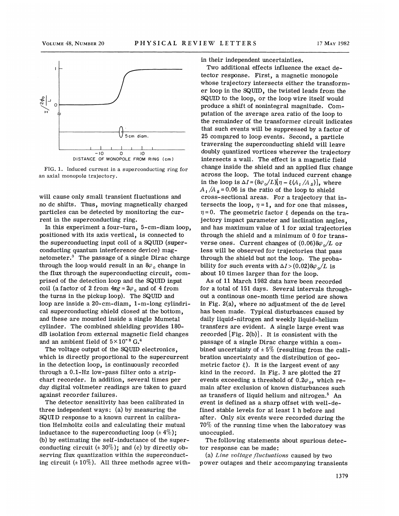

FIG. 1. Induced current in a superconducting ring for an axial monopole trajectory.

will cause only small transient fluctuations and no dc shifts. Thus, moving magnetically charged particles can be detected by monitoring the current in the superconducting ring.

In this experiment a four-turn, 5-cm-diam loop, positioned with its axis vertical, is connected to the superconducting input coil of a SQUID (superconducting quantum interference device) mag-'netometer.<sup>3</sup> The passage of a single Dirac charge through the loop would result in an  $8\varphi_0$  change in the flux through the superconducting circuit, comprised of the detection loop and the SQUID input coil (a factor of 2 from  $4\pi g = 2\varphi_0$  and of 4 from the turns in the pickup loop). The SQUID and loop are inside a 20-cm-diam, 1-m-long cylindrical superconducting shield closed at the bottom, and these are mounted inside a single Mumeta1 cylinder. The combined shielding provides 180 dB i.solation from external magnetic field changes and an ambient field of  $5 \times 10^{-8}$  G.<sup>4</sup>

The voltage output of the SQUID electronics, which is directly proportional to the supercurrent in the detection loop, is continuously recorded through a 0.1-Hz low-pass filter onto a stripchart recorder. In addition, several times per day digital voltmeter readings are taken to guard against recorder failures.

The detector sensitivity has been calibrated in three independent ways: (a) by measuring the SQUID response to a known current in calibration Helmholtz coils and calculating their mutual inductance to the superconducting loop  $(± 4\%)$ ; (b) by estimating the self-inductance of the superconducting circuit  $(± 30\%)$ ; and (c) by directly observing flux quantization within the superconducting circuit  $(\pm 10\%)$ . All three methods agree within their independent uncertainties.

Two additional effects influence the exact detector response. First, a magnetic monopole whose trajectory intersects either the transformer loop in the SQUID, the twisted leads from the SQUID to the loop, or the loop wire itself would produce a shift of nonintegral magnitude. Computation of the average area ratio of the loop to the remainder of the transformer circuit indicates that such events will be suppressed by a factor of 25 compared to loop events. Second, a particle traversing the superconducting shield will leave doubly quantized vortices wherever the trajectory intersects a wall. The effect is a magnetic field change inside the shield and an applied flux change across the loop. The total induced current change in the loop is  $\Delta I = (8\varphi_o/L)[\eta - \xi(A_L/A_s)]$ , where  $A<sub>1</sub>/A<sub>s</sub> = 0.06$  is the ratio of the loop to shield cross-sectional areas. For a trajectory that intersects the loop,  $\eta = 1$ , and for one that misses,  $\eta = 0$ . The geometric factor  $\xi$  depends on the trajectory impact parameter and inclination angles, and has maximum value of 1 for axial trajectories through the shield and a minimum of  $0$  for transverse ones. Current changes of  $(0.06)8\varphi_o/L$  or less will be observed for trajectories that pass through the shield but not the loop. The probability for such events with  $\Delta I$  > (0.02)8 $\varphi_0/L$  is about 10 times larger than for the loop.

As of 11 March 1982 data have been recorded for a total of 151 days. Several intervals throughout a continous one-month time period are shown in Fig.  $2(a)$ , where no adjustment of the dc level has been made. Typical disturbances caused by daily liquid-nitrogen and weekly liquid-helium transfers are evident. A single large event was recorded  $[Fig. 2(b)]$ . It is consistent with the passage of a single Dirae charge within a combined uncertainty of  $\pm 5\%$  (resulting from the calibration uncertainty and the distribution of geometric factor  $\xi$ ). It is the largest event of any kind in the record. In Fig. 3 are plotted the 27 events exceeding a threshold of  $0.2\varphi_0$ , which remain after exclusion of known disturbances such as transfers of liquid helium and nitrogen.<sup>5</sup> An event is defined as a sharp offset with well-defined stable levels for at least 1 h before and after. Only six events were recorded during the 70% of the running time when the laboratory was uno ecupied.

The following statements about spurious detector response can be made:

(a) Line voltage fluctuations caused by two power outages and their accompanying transients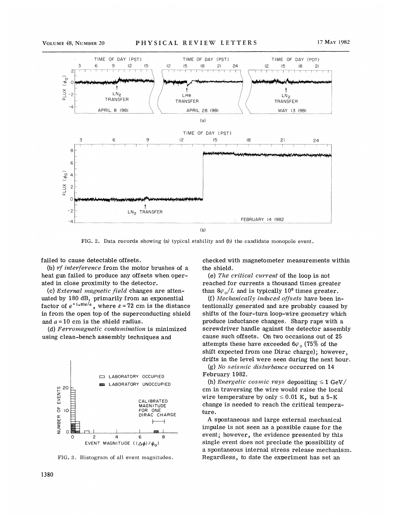

FIG. 2. Data records showing (a) typical stability and (b) the candidate monopole event.

failed to cause detectable offsets.

(b) rf interference from the motor brushes of a heat gun failed to produce any offsets when operated in close proximity to the detector.

(c) External magnetic field changes are attenuated by 180 dB, primarily from an exponential uated by 180 dB, primarily from an exponential factor of  $e^{-1 \cdot 83z/a}$ , where  $z = 72$  cm is the distance in from the open top of the superconducting shield and  $a = 10$  cm is the shield radius.

(d) Ferromagnetic contamination is minimized using clean-bench assembly techniques and



FIG. 3. Histogram of all event magnitudes.

checked with magnetometer measurements within the shield.

(e) The critical current of the loop is not reached for currents a thousand times greater than  $8\varphi_o/L$  and is typically 10<sup>8</sup> times greater.

(f) Mechanically induced offsets have been intentionally generated and are probably caused by shifts of the four-turn loop-mire geometry which produce inductance changes. Sharp raps with a screwdriver handle against the detector assembly cause such offsets. On two occasions out of 25 attempts these have exceeded  $6\varphi_0$  (75% of the shift expected from one Dirac charge); however, drifts in the level were seen during the next hour.

(g) No seismic disturbance occurred on 14 February 1982.

(h) Energetic cosmic rays depositing  $\leq 1$  GeV/ cm in traversing the wire would raise the local wire temperature by only  $\leq 0.01$  K, but a 5-K change is needed to reach the critical temperature.

A spontaneous and large external mechanical impulse is not seen as a possible cause for the event; however, the evidence presented by this single event does not preclude the possibility of a spontaneous internal stress release mechanism. Regardless, to date the experiment has set an